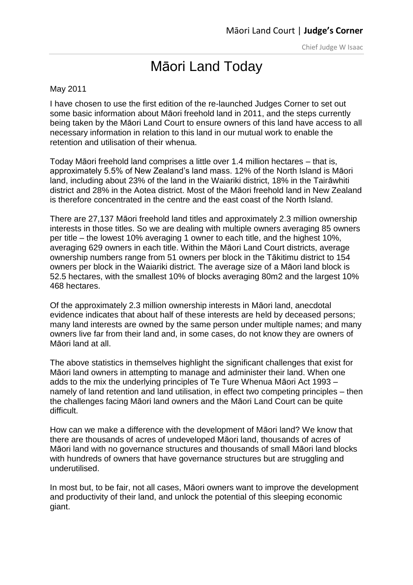## [Māori](http://justedit.justice.govt.nz/courts/maori-land-court/judges-corner-1/judges-corner-previous-articles/documents/judges-corner/Judge%20Harvey%20Feb%202012.pdf) Land Today

## May 2011

I have chosen to use the first edition of the re-launched Judges Corner to set out some basic information about Māori freehold land in 2011, and the steps currently being taken by the Māori Land Court to ensure owners of this land have access to all necessary information in relation to this land in our mutual work to enable the retention and utilisation of their whenua.

Today Māori freehold land comprises a little over 1.4 million hectares – that is, approximately 5.5% of New Zealand's land mass. 12% of the North Island is Māori land, including about 23% of the land in the Waiariki district, 18% in the Tairāwhiti district and 28% in the Aotea district. Most of the Māori freehold land in New Zealand is therefore concentrated in the centre and the east coast of the North Island.

There are 27,137 Māori freehold land titles and approximately 2.3 million ownership interests in those titles. So we are dealing with multiple owners averaging 85 owners per title – the lowest 10% averaging 1 owner to each title, and the highest 10%, averaging 629 owners in each title. Within the Māori Land Court districts, average ownership numbers range from 51 owners per block in the Tākitimu district to 154 owners per block in the Waiariki district. The average size of a Māori land block is 52.5 hectares, with the smallest 10% of blocks averaging 80m2 and the largest 10% 468 hectares.

Of the approximately 2.3 million ownership interests in Māori land, anecdotal evidence indicates that about half of these interests are held by deceased persons; many land interests are owned by the same person under multiple names; and many owners live far from their land and, in some cases, do not know they are owners of Māori land at all.

The above statistics in themselves highlight the significant challenges that exist for Māori land owners in attempting to manage and administer their land. When one adds to the mix the underlying principles of Te Ture Whenua Māori Act 1993 – namely of land retention and land utilisation, in effect two competing principles – then the challenges facing Māori land owners and the Māori Land Court can be quite difficult.

How can we make a difference with the development of Māori land? We know that there are thousands of acres of undeveloped Māori land, thousands of acres of Māori land with no governance structures and thousands of small Māori land blocks with hundreds of owners that have governance structures but are struggling and underutilised.

In most but, to be fair, not all cases, Māori owners want to improve the development and productivity of their land, and unlock the potential of this sleeping economic giant.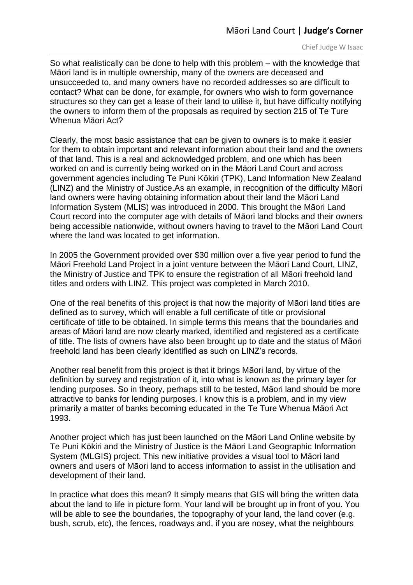Chief Judge W Isaac

So what realistically can be done to help with this problem – with the knowledge that Māori land is in multiple ownership, many of the owners are deceased and unsucceeded to, and many owners have no recorded addresses so are difficult to contact? What can be done, for example, for owners who wish to form governance structures so they can get a lease of their land to utilise it, but have difficulty notifying the owners to inform them of the proposals as required by section 215 of Te Ture Whenua Māori Act?

Clearly, the most basic assistance that can be given to owners is to make it easier for them to obtain important and relevant information about their land and the owners of that land. This is a real and acknowledged problem, and one which has been worked on and is currently being worked on in the Māori Land Court and across government agencies including Te Puni Kōkiri (TPK), Land Information New Zealand (LINZ) and the Ministry of Justice.As an example, in recognition of the difficulty Māori land owners were having obtaining information about their land the Māori Land Information System (MLIS) was introduced in 2000. This brought the Māori Land Court record into the computer age with details of Māori land blocks and their owners being accessible nationwide, without owners having to travel to the Māori Land Court where the land was located to get information.

In 2005 the Government provided over \$30 million over a five year period to fund the Māori Freehold Land Project in a joint venture between the Māori Land Court, LINZ, the Ministry of Justice and TPK to ensure the registration of all Māori freehold land titles and orders with LINZ. This project was completed in March 2010.

One of the real benefits of this project is that now the majority of Māori land titles are defined as to survey, which will enable a full certificate of title or provisional certificate of title to be obtained. In simple terms this means that the boundaries and areas of Māori land are now clearly marked, identified and registered as a certificate of title. The lists of owners have also been brought up to date and the status of Māori freehold land has been clearly identified as such on LINZ's records.

Another real benefit from this project is that it brings Māori land, by virtue of the definition by survey and registration of it, into what is known as the primary layer for lending purposes. So in theory, perhaps still to be tested, Māori land should be more attractive to banks for lending purposes. I know this is a problem, and in my view primarily a matter of banks becoming educated in the Te Ture Whenua Māori Act 1993.

Another project which has just been launched on the Māori Land Online website by Te Puni Kōkiri and the Ministry of Justice is the Māori Land Geographic Information System (MLGIS) project. This new initiative provides a visual tool to Māori land owners and users of Māori land to access information to assist in the utilisation and development of their land.

In practice what does this mean? It simply means that GIS will bring the written data about the land to life in picture form. Your land will be brought up in front of you. You will be able to see the boundaries, the topography of your land, the land cover (e.g. bush, scrub, etc), the fences, roadways and, if you are nosey, what the neighbours